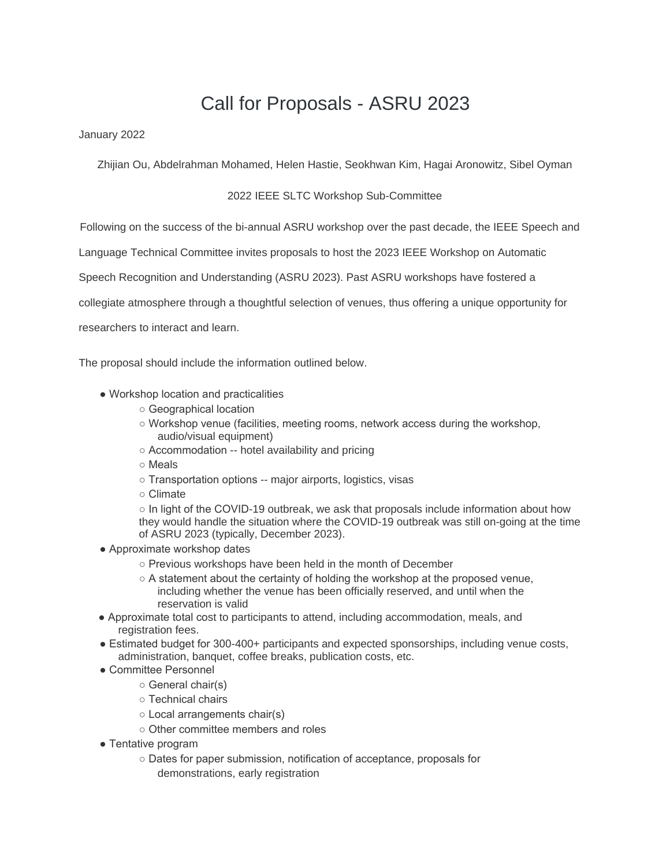## Call for Proposals - ASRU 2023

January 2022

Zhijian Ou, Abdelrahman Mohamed, Helen Hastie, Seokhwan Kim, Hagai Aronowitz, Sibel Oyman

## 2022 IEEE SLTC Workshop Sub-Committee

Following on the success of the bi-annual ASRU workshop over the past decade, the IEEE Speech and

Language Technical Committee invites proposals to host the 2023 IEEE Workshop on Automatic

Speech Recognition and Understanding (ASRU 2023). Past ASRU workshops have fostered a

collegiate atmosphere through a thoughtful selection of venues, thus offering a unique opportunity for

researchers to interact and learn.

The proposal should include the information outlined below.

- Workshop location and practicalities
	- Geographical location
	- Workshop venue (facilities, meeting rooms, network access during the workshop, audio/visual equipment)
	- Accommodation -- hotel availability and pricing
	- Meals
	- Transportation options -- major airports, logistics, visas
	- Climate

○ In light of the COVID-19 outbreak, we ask that proposals include information about how they would handle the situation where the COVID-19 outbreak was still on-going at the time of ASRU 2023 (typically, December 2023).

- Approximate workshop dates
	- Previous workshops have been held in the month of December
	- $\circ$  A statement about the certainty of holding the workshop at the proposed venue, including whether the venue has been officially reserved, and until when the reservation is valid
- Approximate total cost to participants to attend, including accommodation, meals, and registration fees.
- Estimated budget for 300-400+ participants and expected sponsorships, including venue costs, administration, banquet, coffee breaks, publication costs, etc.
- Committee Personnel
	- General chair(s)
	- Technical chairs
	- Local arrangements chair(s)
	- Other committee members and roles
- Tentative program
	- Dates for paper submission, notification of acceptance, proposals for demonstrations, early registration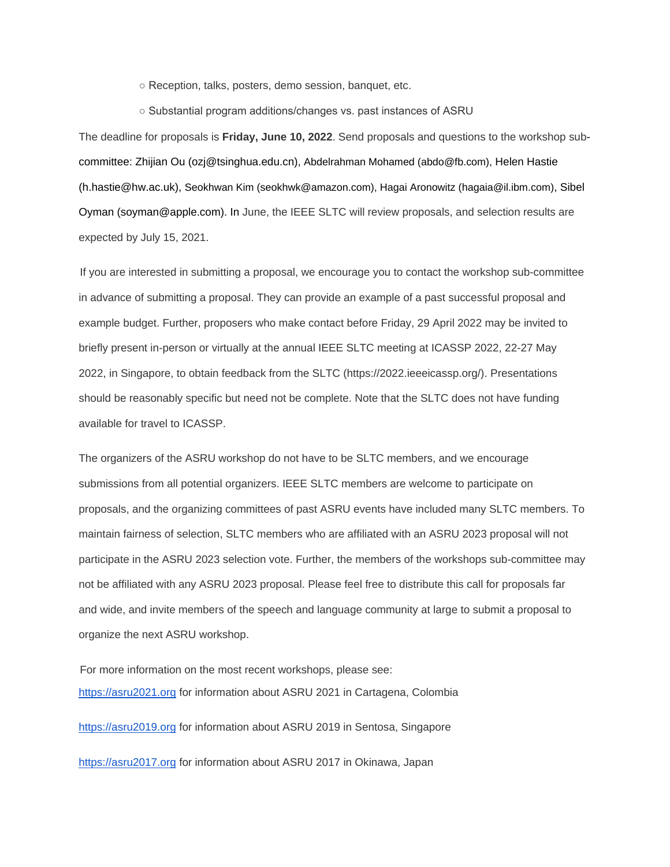○ Reception, talks, posters, demo session, banquet, etc.

○ Substantial program additions/changes vs. past instances of ASRU

The deadline for proposals is **Friday, June 10, 2022**. Send proposals and questions to the workshop subcommittee: Zhijian Ou (ozj@tsinghua.edu.cn), Abdelrahman Mohamed (abdo@fb.com), Helen Hastie (h.hastie@hw.ac.uk), Seokhwan Kim (seokhwk@amazon.com), Hagai Aronowitz (hagaia@il.ibm.com), Sibel Oyman (soyman@apple.com). In June, the IEEE SLTC will review proposals, and selection results are expected by July 15, 2021.

If you are interested in submitting a proposal, we encourage you to contact the workshop sub-committee in advance of submitting a proposal. They can provide an example of a past successful proposal and example budget. Further, proposers who make contact before Friday, 29 April 2022 may be invited to briefly present in-person or virtually at the annual IEEE SLTC meeting at ICASSP 2022, 22-27 May 2022, in Singapore, to obtain feedback from the SLTC (https://2022.ieeeicassp.org/). Presentations should be reasonably specific but need not be complete. Note that the SLTC does not have funding available for travel to ICASSP.

The organizers of the ASRU workshop do not have to be SLTC members, and we encourage submissions from all potential organizers. IEEE SLTC members are welcome to participate on proposals, and the organizing committees of past ASRU events have included many SLTC members. To maintain fairness of selection, SLTC members who are affiliated with an ASRU 2023 proposal will not participate in the ASRU 2023 selection vote. Further, the members of the workshops sub-committee may not be affiliated with any ASRU 2023 proposal. Please feel free to distribute this call for proposals far and wide, and invite members of the speech and language community at large to submit a proposal to organize the next ASRU workshop.

For more information on the most recent workshops, please see: [https://asru2021.org](https://asru2021.org/) for information about ASRU 2021 in Cartagena, Colombia

[https://asru2019.org](https://asru2019.org/) for information about ASRU 2019 in Sentosa, Singapore

[https://asru2017.org](https://asru2017.org/) for information about ASRU 2017 in Okinawa, Japan